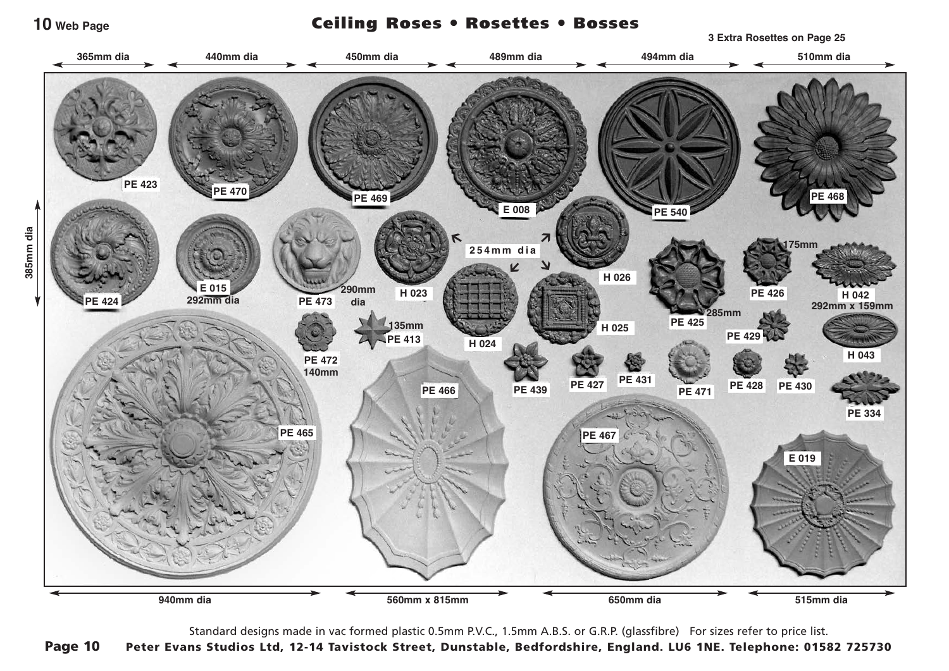**10 Web Page**

Ceiling Roses ● Rosettes ● Bosses

**3 Extra Rosettes on Page 25**



Standard designs made in vac formed plastic 0.5mm P.V.C., 1.5mm A.B.S. or G.R.P. (glassfibre) For sizes refer to price list. Page 10 Peter Evans Studios Ltd, 12-14 Tavistock Street, Dunstable, Bedfordshire, England. LU6 1NE. Telephone: 01582 725730